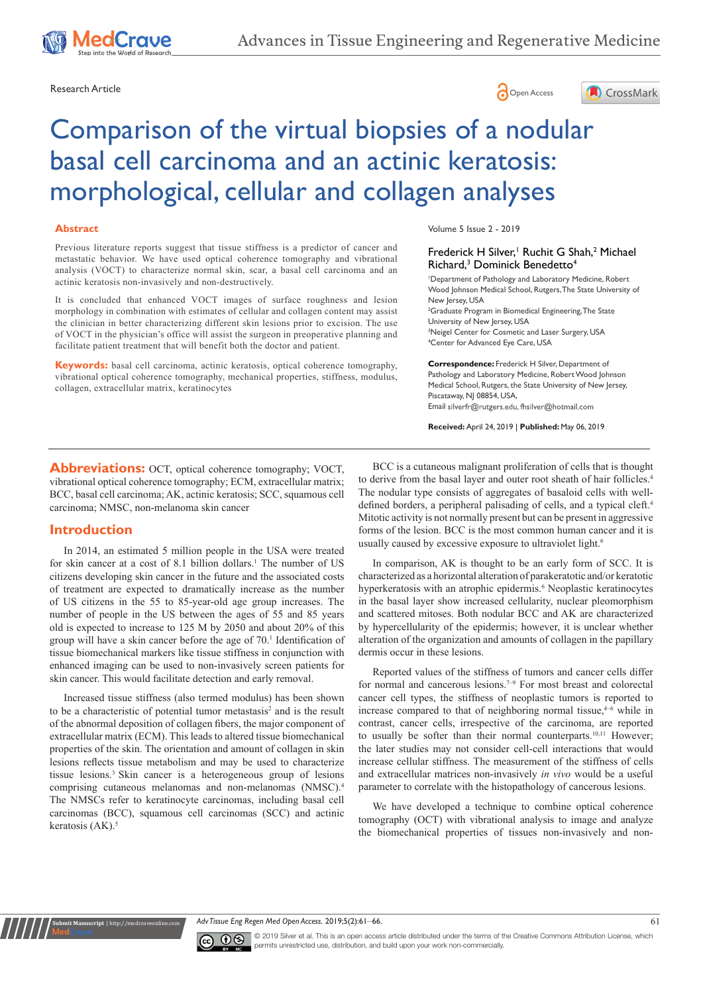





# Comparison of the virtual biopsies of a nodular basal cell carcinoma and an actinic keratosis: morphological, cellular and collagen analyses

#### **Abstract**

Previous literature reports suggest that tissue stiffness is a predictor of cancer and metastatic behavior. We have used optical coherence tomography and vibrational analysis (VOCT) to characterize normal skin, scar, a basal cell carcinoma and an actinic keratosis non-invasively and non-destructively.

It is concluded that enhanced VOCT images of surface roughness and lesion morphology in combination with estimates of cellular and collagen content may assist the clinician in better characterizing different skin lesions prior to excision. The use of VOCT in the physician's office will assist the surgeon in preoperative planning and facilitate patient treatment that will benefit both the doctor and patient.

**Keywords:** basal cell carcinoma, actinic keratosis, optical coherence tomography, vibrational optical coherence tomography, mechanical properties, stiffness, modulus, collagen, extracellular matrix, keratinocytes

Volume 5 Issue 2 - 2019

#### Frederick H Silver,<sup>1</sup> Ruchit G Shah,<sup>2</sup> Michael Richard,<sup>3</sup> Dominick Benedetto<sup>4</sup>

1 Department of Pathology and Laboratory Medicine, Robert Wood Johnson Medical School, Rutgers, The State University of New Jersey, USA

2 Graduate Program in Biomedical Engineering, The State University of New Jersey, USA <sup>3</sup>Neigel Center for Cosmetic and Laser Surgery, USA 4 Center for Advanced Eye Care, USA

**Correspondence:** Frederick H Silver, Department of Pathology and Laboratory Medicine, Robert Wood Johnson Medical School, Rutgers, the State University of New Jersey, Piscataway, NJ 08854, USA, Email silverfr@rutgers.edu, fhsilver@hotmail.com

**Received:** April 24, 2019 | **Published:** May 06, 2019

**Abbreviations:** OCT, optical coherence tomography; VOCT, vibrational optical coherence tomography; ECM, extracellular matrix; BCC, basal cell carcinoma; AK, actinic keratosis; SCC, squamous cell carcinoma; NMSC, non-melanoma skin cancer

## **Introduction**

In 2014, an estimated 5 million people in the USA were treated for skin cancer at a cost of 8.1 billion dollars.<sup>1</sup> The number of US citizens developing skin cancer in the future and the associated costs of treatment are expected to dramatically increase as the number of US citizens in the 55 to 85-year-old age group increases. The number of people in the US between the ages of 55 and 85 years old is expected to increase to 125 M by 2050 and about 20% of this group will have a skin cancer before the age of 70.<sup>1</sup> Identification of tissue biomechanical markers like tissue stiffness in conjunction with enhanced imaging can be used to non-invasively screen patients for skin cancer. This would facilitate detection and early removal.

Increased tissue stiffness (also termed modulus) has been shown to be a characteristic of potential tumor metastasis<sup>2</sup> and is the result of the abnormal deposition of collagen fibers, the major component of extracellular matrix (ECM). This leads to altered tissue biomechanical properties of the skin. The orientation and amount of collagen in skin lesions reflects tissue metabolism and may be used to characterize tissue lesions.3 Skin cancer is a heterogeneous group of lesions comprising cutaneous melanomas and non-melanomas (NMSC).4 The NMSCs refer to keratinocyte carcinomas, including basal cell carcinomas (BCC), squamous cell carcinomas (SCC) and actinic keratosis  $(AK)$ .<sup>5</sup>

BCC is a cutaneous malignant proliferation of cells that is thought to derive from the basal layer and outer root sheath of hair follicles.<sup>4</sup> The nodular type consists of aggregates of basaloid cells with welldefined borders, a peripheral palisading of cells, and a typical cleft.<sup>4</sup> Mitotic activity is not normally present but can be present in aggressive forms of the lesion. BCC is the most common human cancer and it is usually caused by excessive exposure to ultraviolet light.<sup>6</sup>

In comparison, AK is thought to be an early form of SCC. It is characterized as a horizontal alteration of parakeratotic and/or keratotic hyperkeratosis with an atrophic epidermis.<sup>6</sup> Neoplastic keratinocytes in the basal layer show increased cellularity, nuclear pleomorphism and scattered mitoses. Both nodular BCC and AK are characterized by hypercellularity of the epidermis; however, it is unclear whether alteration of the organization and amounts of collagen in the papillary dermis occur in these lesions.

Reported values of the stiffness of tumors and cancer cells differ for normal and cancerous lesions.<sup>7-9</sup> For most breast and colorectal cancer cell types, the stiffness of neoplastic tumors is reported to increase compared to that of neighboring normal tissue,<sup>4-6</sup> while in contrast, cancer cells, irrespective of the carcinoma, are reported to usually be softer than their normal counterparts.<sup>10,11</sup> However: the later studies may not consider cell-cell interactions that would increase cellular stiffness. The measurement of the stiffness of cells and extracellular matrices non-invasively *in vivo* would be a useful parameter to correlate with the histopathology of cancerous lesions.

We have developed a technique to combine optical coherence tomography (OCT) with vibrational analysis to image and analyze the biomechanical properties of tissues non-invasively and non-





**Submit Manuscript** | http://medcraveonline.com

© 2019 Silver et al. This is an open access article distributed under the terms of the [Creative Commons Attribution License,](https://creativecommons.org/licenses/by-nc/4.0/) which permits unrestricted use, distribution, and build upon your work non-commercially.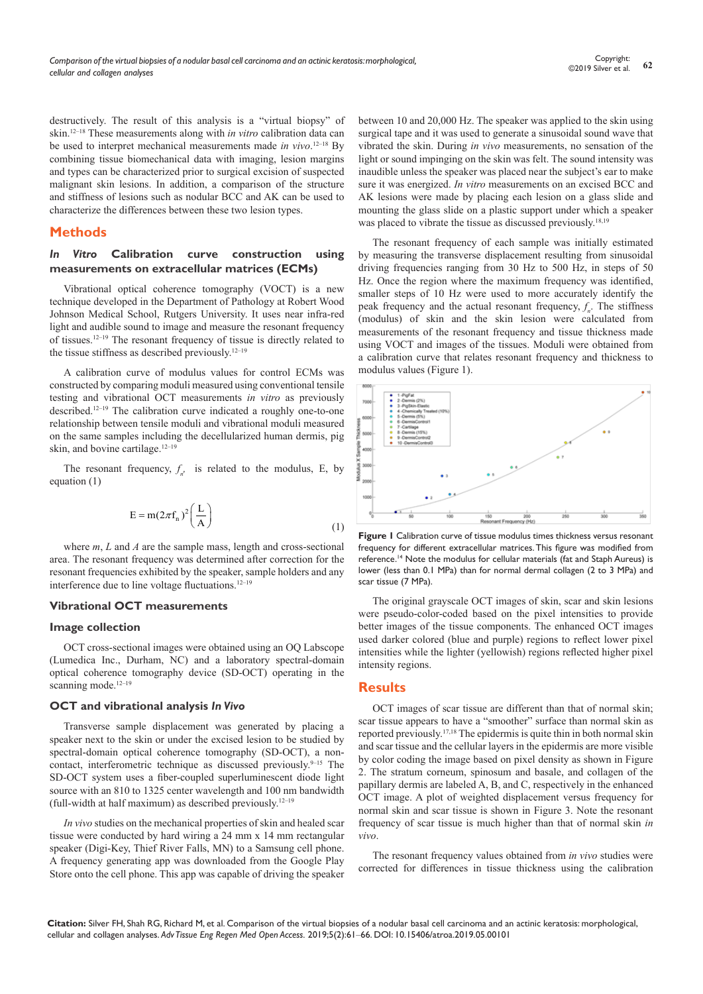destructively. The result of this analysis is a "virtual biopsy" of skin.12–18 These measurements along with *in vitro* calibration data can be used to interpret mechanical measurements made *in vivo*. 12–18 By combining tissue biomechanical data with imaging, lesion margins and types can be characterized prior to surgical excision of suspected malignant skin lesions. In addition, a comparison of the structure and stiffness of lesions such as nodular BCC and AK can be used to characterize the differences between these two lesion types.

# **Methods**

### *In Vitro* **Calibration curve construction using measurements on extracellular matrices (ECMs)**

Vibrational optical coherence tomography (VOCT) is a new technique developed in the Department of Pathology at Robert Wood Johnson Medical School, Rutgers University. It uses near infra-red light and audible sound to image and measure the resonant frequency of tissues.12–19 The resonant frequency of tissue is directly related to the tissue stiffness as described previously.12–19

A calibration curve of modulus values for control ECMs was constructed by comparing moduli measured using conventional tensile testing and vibrational OCT measurements *in vitro* as previously described.12–19 The calibration curve indicated a roughly one-to-one relationship between tensile moduli and vibrational moduli measured on the same samples including the decellularized human dermis, pig skin, and bovine cartilage.<sup>12-19</sup>

The resonant frequency,  $f_n$  is related to the modulus, E, by equation (1)

$$
E = m(2\pi f_n)^2 \left(\frac{L}{A}\right)
$$
 (1)

where *m*, *L* and *A* are the sample mass, length and cross-sectional area. The resonant frequency was determined after correction for the resonant frequencies exhibited by the speaker, sample holders and any interference due to line voltage fluctuations.12–19

#### **Vibrational OCT measurements**

#### **Image collection**

OCT cross-sectional images were obtained using an OQ Labscope (Lumedica Inc., Durham, NC) and a laboratory spectral-domain optical coherence tomography device (SD-OCT) operating in the scanning mode.<sup>12-19</sup>

#### **OCT and vibrational analysis** *In Vivo*

Transverse sample displacement was generated by placing a speaker next to the skin or under the excised lesion to be studied by spectral-domain optical coherence tomography (SD-OCT), a noncontact, interferometric technique as discussed previously.<sup>9–15</sup> The SD-OCT system uses a fiber-coupled superluminescent diode light source with an 810 to 1325 center wavelength and 100 nm bandwidth (full-width at half maximum) as described previously.12–19

*In vivo* studies on the mechanical properties of skin and healed scar tissue were conducted by hard wiring a 24 mm x 14 mm rectangular speaker (Digi-Key, Thief River Falls, MN) to a Samsung cell phone. A frequency generating app was downloaded from the Google Play Store onto the cell phone. This app was capable of driving the speaker

between 10 and 20,000 Hz. The speaker was applied to the skin using surgical tape and it was used to generate a sinusoidal sound wave that vibrated the skin. During *in vivo* measurements, no sensation of the light or sound impinging on the skin was felt. The sound intensity was inaudible unless the speaker was placed near the subject's ear to make sure it was energized. *In vitro* measurements on an excised BCC and AK lesions were made by placing each lesion on a glass slide and mounting the glass slide on a plastic support under which a speaker was placed to vibrate the tissue as discussed previously.<sup>18,19</sup>

The resonant frequency of each sample was initially estimated by measuring the transverse displacement resulting from sinusoidal driving frequencies ranging from 30 Hz to 500 Hz, in steps of 50 Hz. Once the region where the maximum frequency was identified, smaller steps of 10 Hz were used to more accurately identify the peak frequency and the actual resonant frequency, *f n* . The stiffness (modulus) of skin and the skin lesion were calculated from measurements of the resonant frequency and tissue thickness made using VOCT and images of the tissues. Moduli were obtained from a calibration curve that relates resonant frequency and thickness to modulus values (Figure 1).



**Figure 1** Calibration curve of tissue modulus times thickness versus resonant frequency for different extracellular matrices. This figure was modified from reference.<sup>14</sup> Note the modulus for cellular materials (fat and Staph Aureus) is lower (less than 0.1 MPa) than for normal dermal collagen (2 to 3 MPa) and scar tissue (7 MPa).

The original grayscale OCT images of skin, scar and skin lesions were pseudo-color-coded based on the pixel intensities to provide better images of the tissue components. The enhanced OCT images used darker colored (blue and purple) regions to reflect lower pixel intensities while the lighter (yellowish) regions reflected higher pixel intensity regions.

## **Results**

OCT images of scar tissue are different than that of normal skin; scar tissue appears to have a "smoother" surface than normal skin as reported previously.17,18 The epidermis is quite thin in both normal skin and scar tissue and the cellular layers in the epidermis are more visible by color coding the image based on pixel density as shown in Figure 2. The stratum corneum, spinosum and basale, and collagen of the papillary dermis are labeled A, B, and C, respectively in the enhanced OCT image. A plot of weighted displacement versus frequency for normal skin and scar tissue is shown in Figure 3. Note the resonant frequency of scar tissue is much higher than that of normal skin *in vivo*.

The resonant frequency values obtained from *in vivo* studies were corrected for differences in tissue thickness using the calibration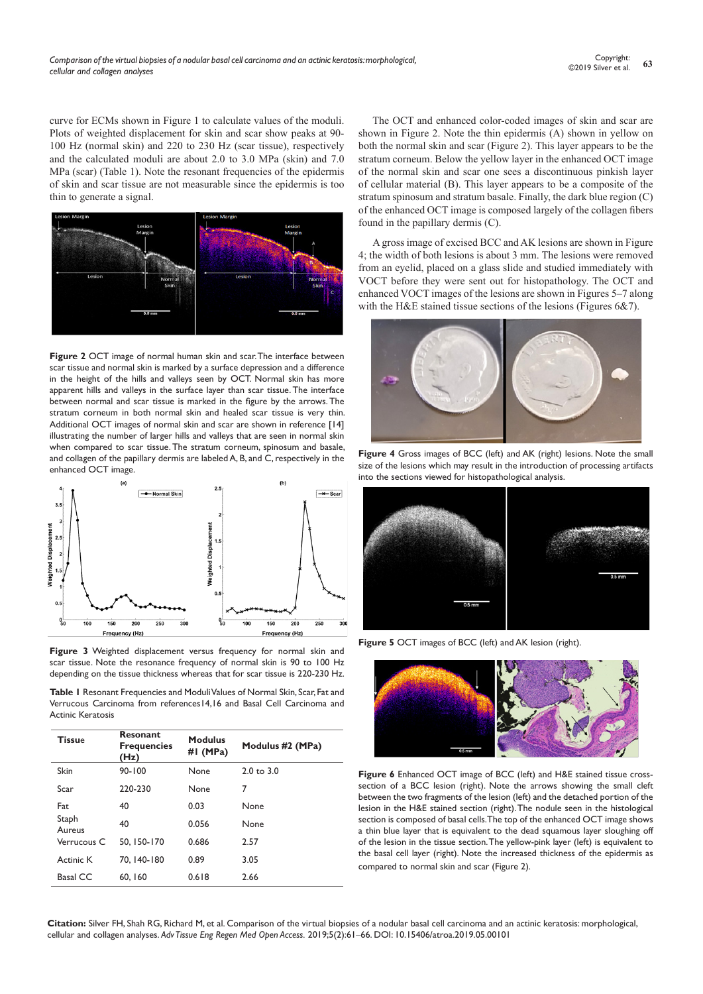curve for ECMs shown in Figure 1 to calculate values of the moduli. Plots of weighted displacement for skin and scar show peaks at 90- 100 Hz (normal skin) and 220 to 230 Hz (scar tissue), respectively and the calculated moduli are about 2.0 to 3.0 MPa (skin) and 7.0 MPa (scar) (Table 1). Note the resonant frequencies of the epidermis of skin and scar tissue are not measurable since the epidermis is too thin to generate a signal.



**Figure 2** OCT image of normal human skin and scar. The interface between scar tissue and normal skin is marked by a surface depression and a difference in the height of the hills and valleys seen by OCT. Normal skin has more apparent hills and valleys in the surface layer than scar tissue. The interface between normal and scar tissue is marked in the figure by the arrows. The stratum corneum in both normal skin and healed scar tissue is very thin. Additional OCT images of normal skin and scar are shown in reference [14] illustrating the number of larger hills and valleys that are seen in normal skin when compared to scar tissue. The stratum corneum, spinosum and basale, and collagen of the papillary dermis are labeled A, B, and C, respectively in the enhanced OCT image.



**Figure 3** Weighted displacement versus frequency for normal skin and scar tissue. Note the resonance frequency of normal skin is 90 to 100 Hz depending on the tissue thickness whereas that for scar tissue is 220-230 Hz.

**Table 1** Resonant Frequencies and Moduli Values of Normal Skin, Scar, Fat and Verrucous Carcinoma from references14,16 and Basal Cell Carcinoma and Actinic Keratosis

| <b>Tissue</b>   | <b>Resonant</b><br><b>Frequencies</b><br>(Hz) | <b>Modulus</b><br>#I (MPa) | Modulus #2 (MPa)      |
|-----------------|-----------------------------------------------|----------------------------|-----------------------|
| Skin            | $90 - 100$                                    | None                       | $2.0 \text{ to } 3.0$ |
| Scar            | 220-230                                       | None                       | 7                     |
| Fat             | 40                                            | 0.03                       | None                  |
| Staph<br>Aureus | 40                                            | 0.056                      | None                  |
| Verrucous C     | 50.150-170                                    | 0.686                      | 2.57                  |
| Actinic K       | 70.140-180                                    | 0.89                       | 3.05                  |
| Basal CC        | 60, 160                                       | 0.618                      | 2.66                  |

The OCT and enhanced color-coded images of skin and scar are shown in Figure 2. Note the thin epidermis (A) shown in yellow on both the normal skin and scar (Figure 2). This layer appears to be the stratum corneum. Below the yellow layer in the enhanced OCT image of the normal skin and scar one sees a discontinuous pinkish layer of cellular material (B). This layer appears to be a composite of the stratum spinosum and stratum basale. Finally, the dark blue region (C) of the enhanced OCT image is composed largely of the collagen fibers found in the papillary dermis (C).

A gross image of excised BCC and AK lesions are shown in Figure 4; the width of both lesions is about 3 mm. The lesions were removed from an eyelid, placed on a glass slide and studied immediately with VOCT before they were sent out for histopathology. The OCT and enhanced VOCT images of the lesions are shown in Figures 5–7 along with the H&E stained tissue sections of the lesions (Figures 6&7).



**Figure 4** Gross images of BCC (left) and AK (right) lesions. Note the small size of the lesions which may result in the introduction of processing artifacts into the sections viewed for histopathological analysis.



**Figure 5** OCT images of BCC (left) and AK lesion (right).



**Figure 6** Enhanced OCT image of BCC (left) and H&E stained tissue crosssection of a BCC lesion (right). Note the arrows showing the small cleft between the two fragments of the lesion (left) and the detached portion of the lesion in the H&E stained section (right). The nodule seen in the histological section is composed of basal cells. The top of the enhanced OCT image shows a thin blue layer that is equivalent to the dead squamous layer sloughing off of the lesion in the tissue section. The yellow-pink layer (left) is equivalent to the basal cell layer (right). Note the increased thickness of the epidermis as compared to normal skin and scar (Figure 2).

**Citation:** Silver FH, Shah RG, Richard M, et al. Comparison of the virtual biopsies of a nodular basal cell carcinoma and an actinic keratosis: morphological, cellular and collagen analyses. *Adv Tissue Eng Regen Med Open Access.* 2019;5(2):61‒66. DOI: [10.15406/atroa.2019.05.00101](https://doi.org/10.15406/atroa.2019.05.00101)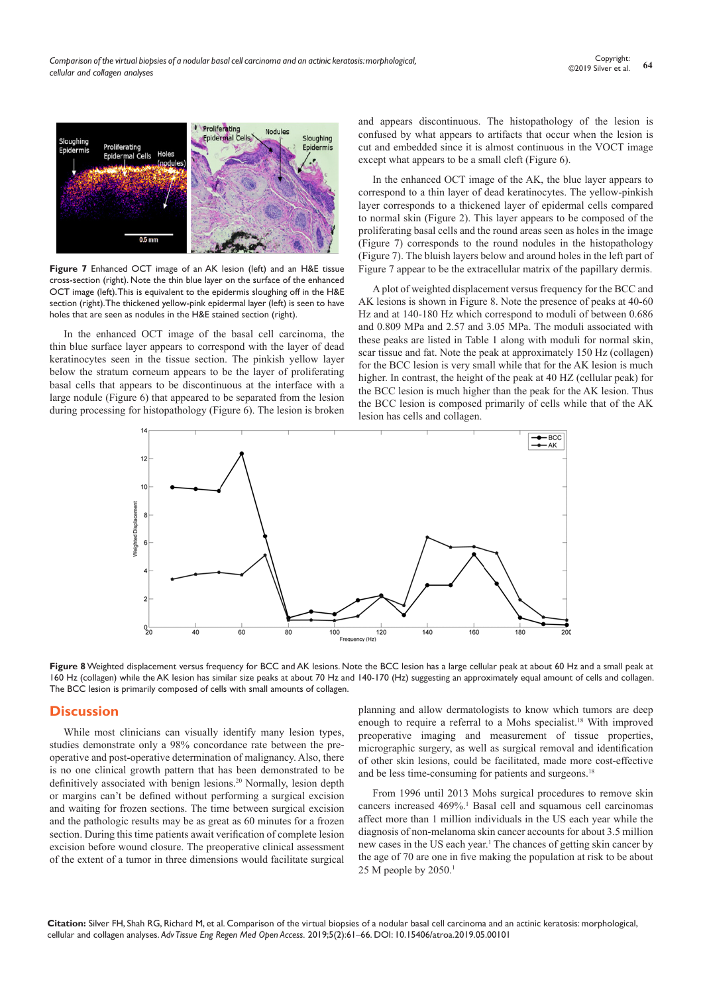

**Figure 7** Enhanced OCT image of an AK lesion (left) and an H&E tissue cross-section (right). Note the thin blue layer on the surface of the enhanced OCT image (left). This is equivalent to the epidermis sloughing off in the H&E section (right). The thickened yellow-pink epidermal layer (left) is seen to have holes that are seen as nodules in the H&E stained section (right).

In the enhanced OCT image of the basal cell carcinoma, the thin blue surface layer appears to correspond with the layer of dead keratinocytes seen in the tissue section. The pinkish yellow layer below the stratum corneum appears to be the layer of proliferating basal cells that appears to be discontinuous at the interface with a large nodule (Figure 6) that appeared to be separated from the lesion during processing for histopathology (Figure 6). The lesion is broken

and appears discontinuous. The histopathology of the lesion is confused by what appears to artifacts that occur when the lesion is cut and embedded since it is almost continuous in the VOCT image except what appears to be a small cleft (Figure 6).

In the enhanced OCT image of the AK, the blue layer appears to correspond to a thin layer of dead keratinocytes. The yellow-pinkish layer corresponds to a thickened layer of epidermal cells compared to normal skin (Figure 2). This layer appears to be composed of the proliferating basal cells and the round areas seen as holes in the image (Figure 7) corresponds to the round nodules in the histopathology (Figure 7). The bluish layers below and around holes in the left part of Figure 7 appear to be the extracellular matrix of the papillary dermis.

A plot of weighted displacement versus frequency for the BCC and AK lesions is shown in Figure 8. Note the presence of peaks at 40-60 Hz and at 140-180 Hz which correspond to moduli of between 0.686 and 0.809 MPa and 2.57 and 3.05 MPa. The moduli associated with these peaks are listed in Table 1 along with moduli for normal skin, scar tissue and fat. Note the peak at approximately 150 Hz (collagen) for the BCC lesion is very small while that for the AK lesion is much higher. In contrast, the height of the peak at 40 HZ (cellular peak) for the BCC lesion is much higher than the peak for the AK lesion. Thus the BCC lesion is composed primarily of cells while that of the AK lesion has cells and collagen.



Figure 8 Weighted displacement versus frequency for BCC and AK lesions. Note the BCC lesion has a large cellular peak at about 60 Hz and a small peak at 160 Hz (collagen) while the AK lesion has similar size peaks at about 70 Hz and 140-170 (Hz) suggesting an approximately equal amount of cells and collagen. The BCC lesion is primarily composed of cells with small amounts of collagen.

## **Discussion**

While most clinicians can visually identify many lesion types, studies demonstrate only a 98% concordance rate between the preoperative and post-operative determination of malignancy. Also, there is no one clinical growth pattern that has been demonstrated to be definitively associated with benign lesions.<sup>20</sup> Normally, lesion depth or margins can't be defined without performing a surgical excision and waiting for frozen sections. The time between surgical excision and the pathologic results may be as great as 60 minutes for a frozen section. During this time patients await verification of complete lesion excision before wound closure. The preoperative clinical assessment of the extent of a tumor in three dimensions would facilitate surgical

planning and allow dermatologists to know which tumors are deep enough to require a referral to a Mohs specialist.<sup>18</sup> With improved preoperative imaging and measurement of tissue properties, micrographic surgery, as well as surgical removal and identification of other skin lesions, could be facilitated, made more cost-effective and be less time-consuming for patients and surgeons.<sup>18</sup>

From 1996 until 2013 Mohs surgical procedures to remove skin cancers increased 469%.<sup>1</sup> Basal cell and squamous cell carcinomas affect more than 1 million individuals in the US each year while the diagnosis of non-melanoma skin cancer accounts for about 3.5 million new cases in the US each year.<sup>1</sup> The chances of getting skin cancer by the age of 70 are one in five making the population at risk to be about 25 M people by  $2050.<sup>1</sup>$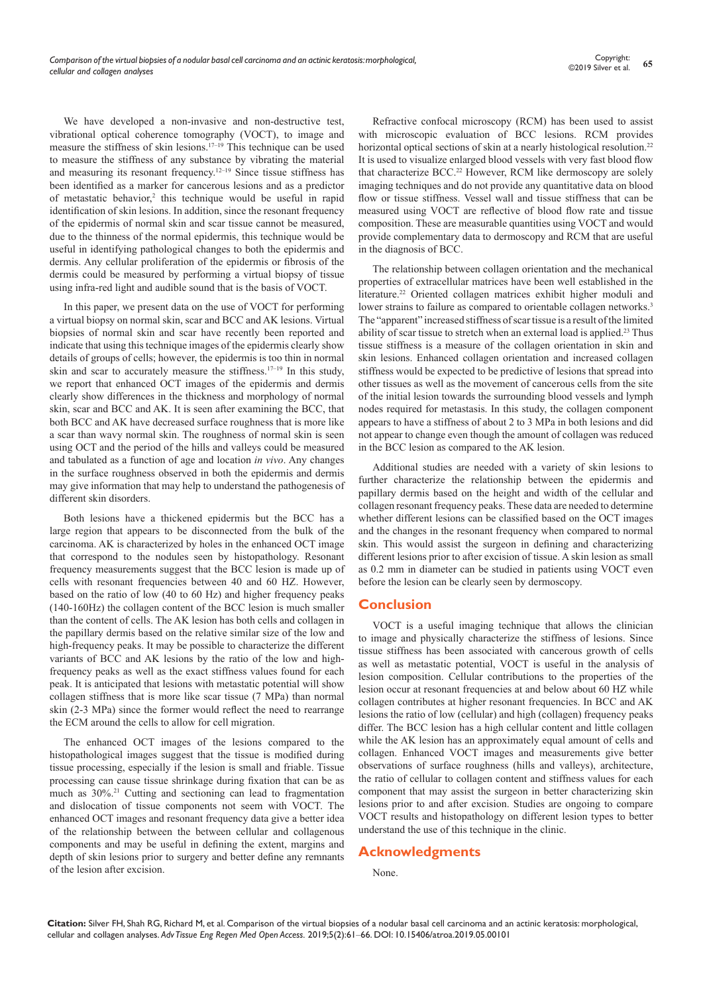We have developed a non-invasive and non-destructive test, vibrational optical coherence tomography (VOCT), to image and measure the stiffness of skin lesions.17–19 This technique can be used to measure the stiffness of any substance by vibrating the material and measuring its resonant frequency.<sup>12-19</sup> Since tissue stiffness has been identified as a marker for cancerous lesions and as a predictor of metastatic behavior,<sup>2</sup> this technique would be useful in rapid identification of skin lesions. In addition, since the resonant frequency of the epidermis of normal skin and scar tissue cannot be measured, due to the thinness of the normal epidermis, this technique would be useful in identifying pathological changes to both the epidermis and dermis. Any cellular proliferation of the epidermis or fibrosis of the dermis could be measured by performing a virtual biopsy of tissue using infra-red light and audible sound that is the basis of VOCT.

In this paper, we present data on the use of VOCT for performing a virtual biopsy on normal skin, scar and BCC and AK lesions. Virtual biopsies of normal skin and scar have recently been reported and indicate that using this technique images of the epidermis clearly show details of groups of cells; however, the epidermis is too thin in normal skin and scar to accurately measure the stiffness.<sup>17–19</sup> In this study, we report that enhanced OCT images of the epidermis and dermis clearly show differences in the thickness and morphology of normal skin, scar and BCC and AK. It is seen after examining the BCC, that both BCC and AK have decreased surface roughness that is more like a scar than wavy normal skin. The roughness of normal skin is seen using OCT and the period of the hills and valleys could be measured and tabulated as a function of age and location *in vivo*. Any changes in the surface roughness observed in both the epidermis and dermis may give information that may help to understand the pathogenesis of different skin disorders.

Both lesions have a thickened epidermis but the BCC has a large region that appears to be disconnected from the bulk of the carcinoma. AK is characterized by holes in the enhanced OCT image that correspond to the nodules seen by histopathology. Resonant frequency measurements suggest that the BCC lesion is made up of cells with resonant frequencies between 40 and 60 HZ. However, based on the ratio of low (40 to 60 Hz) and higher frequency peaks (140-160Hz) the collagen content of the BCC lesion is much smaller than the content of cells. The AK lesion has both cells and collagen in the papillary dermis based on the relative similar size of the low and high-frequency peaks. It may be possible to characterize the different variants of BCC and AK lesions by the ratio of the low and highfrequency peaks as well as the exact stiffness values found for each peak. It is anticipated that lesions with metastatic potential will show collagen stiffness that is more like scar tissue (7 MPa) than normal skin (2-3 MPa) since the former would reflect the need to rearrange the ECM around the cells to allow for cell migration.

The enhanced OCT images of the lesions compared to the histopathological images suggest that the tissue is modified during tissue processing, especially if the lesion is small and friable. Tissue processing can cause tissue shrinkage during fixation that can be as much as 30%.21 Cutting and sectioning can lead to fragmentation and dislocation of tissue components not seem with VOCT. The enhanced OCT images and resonant frequency data give a better idea of the relationship between the between cellular and collagenous components and may be useful in defining the extent, margins and depth of skin lesions prior to surgery and better define any remnants of the lesion after excision.

Refractive confocal microscopy (RCM) has been used to assist with microscopic evaluation of BCC lesions. RCM provides horizontal optical sections of skin at a nearly histological resolution.<sup>22</sup> It is used to visualize enlarged blood vessels with very fast blood flow that characterize BCC.<sup>22</sup> However, RCM like dermoscopy are solely imaging techniques and do not provide any quantitative data on blood flow or tissue stiffness. Vessel wall and tissue stiffness that can be measured using VOCT are reflective of blood flow rate and tissue composition. These are measurable quantities using VOCT and would provide complementary data to dermoscopy and RCM that are useful in the diagnosis of BCC.

The relationship between collagen orientation and the mechanical properties of extracellular matrices have been well established in the literature.22 Oriented collagen matrices exhibit higher moduli and lower strains to failure as compared to orientable collagen networks.<sup>3</sup> The "apparent" increased stiffness of scar tissue is a result of the limited ability of scar tissue to stretch when an external load is applied.<sup>23</sup> Thus tissue stiffness is a measure of the collagen orientation in skin and skin lesions. Enhanced collagen orientation and increased collagen stiffness would be expected to be predictive of lesions that spread into other tissues as well as the movement of cancerous cells from the site of the initial lesion towards the surrounding blood vessels and lymph nodes required for metastasis. In this study, the collagen component appears to have a stiffness of about 2 to 3 MPa in both lesions and did not appear to change even though the amount of collagen was reduced in the BCC lesion as compared to the AK lesion.

Additional studies are needed with a variety of skin lesions to further characterize the relationship between the epidermis and papillary dermis based on the height and width of the cellular and collagen resonant frequency peaks. These data are needed to determine whether different lesions can be classified based on the OCT images and the changes in the resonant frequency when compared to normal skin. This would assist the surgeon in defining and characterizing different lesions prior to after excision of tissue. A skin lesion as small as 0.2 mm in diameter can be studied in patients using VOCT even before the lesion can be clearly seen by dermoscopy.

# **Conclusion**

VOCT is a useful imaging technique that allows the clinician to image and physically characterize the stiffness of lesions. Since tissue stiffness has been associated with cancerous growth of cells as well as metastatic potential, VOCT is useful in the analysis of lesion composition. Cellular contributions to the properties of the lesion occur at resonant frequencies at and below about 60 HZ while collagen contributes at higher resonant frequencies. In BCC and AK lesions the ratio of low (cellular) and high (collagen) frequency peaks differ. The BCC lesion has a high cellular content and little collagen while the AK lesion has an approximately equal amount of cells and collagen. Enhanced VOCT images and measurements give better observations of surface roughness (hills and valleys), architecture, the ratio of cellular to collagen content and stiffness values for each component that may assist the surgeon in better characterizing skin lesions prior to and after excision. Studies are ongoing to compare VOCT results and histopathology on different lesion types to better understand the use of this technique in the clinic.

# **Acknowledgments**

None.